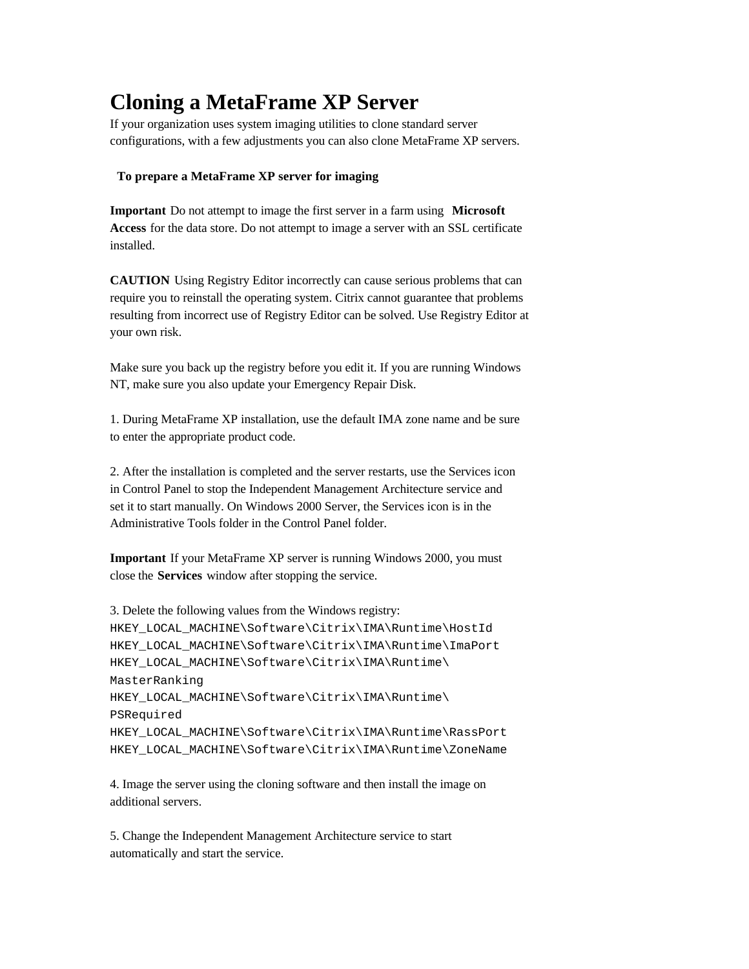# **Cloning a MetaFrame XP Server**

If your organization uses system imaging utilities to clone standard server configurations, with a few adjustments you can also clone MetaFrame XP servers.

# **To prepare a MetaFrame XP server for imaging**

**Important** Do not attempt to image the first server in a farm using **Microsoft Access** for the data store. Do not attempt to image a server with an SSL certificate installed.

**CAUTION** Using Registry Editor incorrectly can cause serious problems that can require you to reinstall the operating system. Citrix cannot guarantee that problems resulting from incorrect use of Registry Editor can be solved. Use Registry Editor at your own risk.

Make sure you back up the registry before you edit it. If you are running Windows NT, make sure you also update your Emergency Repair Disk.

1. During MetaFrame XP installation, use the default IMA zone name and be sure to enter the appropriate product code.

2. After the installation is completed and the server restarts, use the Services icon in Control Panel to stop the Independent Management Architecture service and set it to start manually. On Windows 2000 Server, the Services icon is in the Administrative Tools folder in the Control Panel folder.

**Important** If your MetaFrame XP server is running Windows 2000, you must close the **Services** window after stopping the service.

```
3. Delete the following values from the Windows registry:
HKEY_LOCAL_MACHINE\Software\Citrix\IMA\Runtime\HostId
HKEY_LOCAL_MACHINE\Software\Citrix\IMA\Runtime\ImaPort
HKEY_LOCAL_MACHINE\Software\Citrix\IMA\Runtime\
MasterRanking
HKEY_LOCAL_MACHINE\Software\Citrix\IMA\Runtime\
PSRequired
HKEY_LOCAL_MACHINE\Software\Citrix\IMA\Runtime\RassPort
HKEY_LOCAL_MACHINE\Software\Citrix\IMA\Runtime\ZoneName
```
4. Image the server using the cloning software and then install the image on additional servers.

5. Change the Independent Management Architecture service to start automatically and start the service.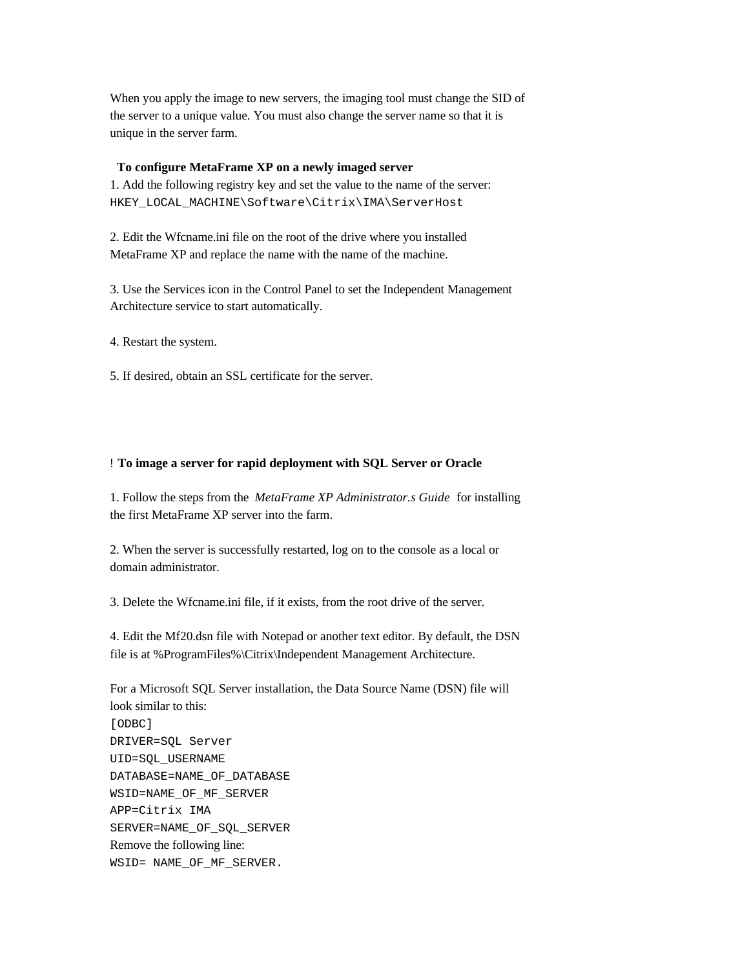When you apply the image to new servers, the imaging tool must change the SID of the server to a unique value. You must also change the server name so that it is unique in the server farm.

#### **To configure MetaFrame XP on a newly imaged server**

1. Add the following registry key and set the value to the name of the server: HKEY\_LOCAL\_MACHINE\Software\Citrix\IMA\ServerHost

2. Edit the Wfcname.ini file on the root of the drive where you installed MetaFrame XP and replace the name with the name of the machine.

3. Use the Services icon in the Control Panel to set the Independent Management Architecture service to start automatically.

4. Restart the system.

5. If desired, obtain an SSL certificate for the server.

#### ! **To image a server for rapid deployment with SQL Server or Oracle**

1. Follow the steps from the *MetaFrame XP Administrator.s Guide* for installing the first MetaFrame XP server into the farm.

2. When the server is successfully restarted, log on to the console as a local or domain administrator.

3. Delete the Wfcname.ini file, if it exists, from the root drive of the server.

4. Edit the Mf20.dsn file with Notepad or another text editor. By default, the DSN file is at %ProgramFiles%\Citrix\Independent Management Architecture.

For a Microsoft SQL Server installation, the Data Source Name (DSN) file will look similar to this: [ODBC] DRIVER=SQL Server UID=SQL\_USERNAME DATABASE=NAME\_OF\_DATABASE WSID=NAME\_OF\_MF\_SERVER APP=Citrix IMA SERVER=NAME\_OF\_SQL\_SERVER Remove the following line: WSID= NAME\_OF\_MF\_SERVER.